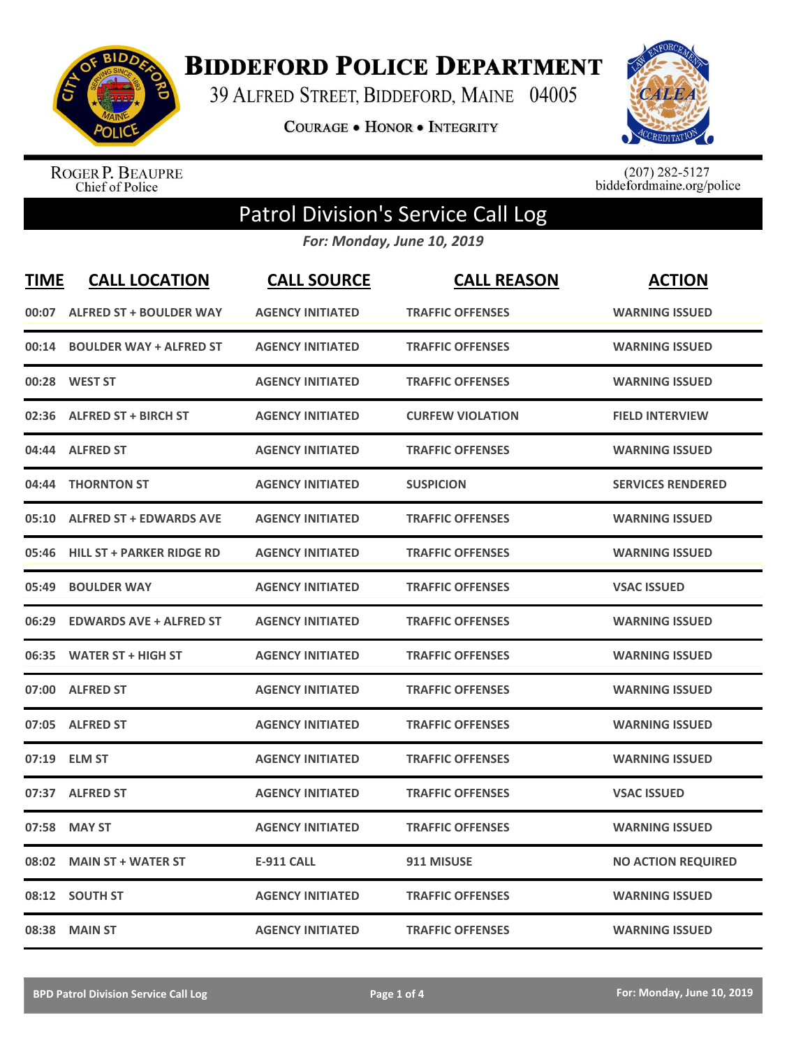

**BIDDEFORD POLICE DEPARTMENT** 

39 ALFRED STREET, BIDDEFORD, MAINE 04005

**COURAGE . HONOR . INTEGRITY** 



ROGER P. BEAUPRE<br>Chief of Police

 $(207)$  282-5127<br>biddefordmaine.org/police

## Patrol Division's Service Call Log

*For: Monday, June 10, 2019*

| <b>TIME</b> | <b>CALL LOCATION</b>             | <b>CALL SOURCE</b>      | <b>CALL REASON</b>      | <b>ACTION</b>             |
|-------------|----------------------------------|-------------------------|-------------------------|---------------------------|
| 00:07       | <b>ALFRED ST + BOULDER WAY</b>   | <b>AGENCY INITIATED</b> | <b>TRAFFIC OFFENSES</b> | <b>WARNING ISSUED</b>     |
| 00:14       | <b>BOULDER WAY + ALFRED ST</b>   | <b>AGENCY INITIATED</b> | <b>TRAFFIC OFFENSES</b> | <b>WARNING ISSUED</b>     |
| 00:28       | <b>WEST ST</b>                   | <b>AGENCY INITIATED</b> | <b>TRAFFIC OFFENSES</b> | <b>WARNING ISSUED</b>     |
| 02:36       | <b>ALFRED ST + BIRCH ST</b>      | <b>AGENCY INITIATED</b> | <b>CURFEW VIOLATION</b> | <b>FIELD INTERVIEW</b>    |
| 04:44       | <b>ALFRED ST</b>                 | <b>AGENCY INITIATED</b> | <b>TRAFFIC OFFENSES</b> | <b>WARNING ISSUED</b>     |
| 04:44       | <b>THORNTON ST</b>               | <b>AGENCY INITIATED</b> | <b>SUSPICION</b>        | <b>SERVICES RENDERED</b>  |
| 05:10       | <b>ALFRED ST + EDWARDS AVE</b>   | <b>AGENCY INITIATED</b> | <b>TRAFFIC OFFENSES</b> | <b>WARNING ISSUED</b>     |
| 05:46       | <b>HILL ST + PARKER RIDGE RD</b> | <b>AGENCY INITIATED</b> | <b>TRAFFIC OFFENSES</b> | <b>WARNING ISSUED</b>     |
| 05:49       | <b>BOULDER WAY</b>               | <b>AGENCY INITIATED</b> | <b>TRAFFIC OFFENSES</b> | <b>VSAC ISSUED</b>        |
| 06:29       | <b>EDWARDS AVE + ALFRED ST</b>   | <b>AGENCY INITIATED</b> | <b>TRAFFIC OFFENSES</b> | <b>WARNING ISSUED</b>     |
| 06:35       | <b>WATER ST + HIGH ST</b>        | <b>AGENCY INITIATED</b> | <b>TRAFFIC OFFENSES</b> | <b>WARNING ISSUED</b>     |
| 07:00       | <b>ALFRED ST</b>                 | <b>AGENCY INITIATED</b> | <b>TRAFFIC OFFENSES</b> | <b>WARNING ISSUED</b>     |
| 07:05       | <b>ALFRED ST</b>                 | <b>AGENCY INITIATED</b> | <b>TRAFFIC OFFENSES</b> | <b>WARNING ISSUED</b>     |
| 07:19       | <b>ELM ST</b>                    | <b>AGENCY INITIATED</b> | <b>TRAFFIC OFFENSES</b> | <b>WARNING ISSUED</b>     |
| 07:37       | <b>ALFRED ST</b>                 | <b>AGENCY INITIATED</b> | <b>TRAFFIC OFFENSES</b> | <b>VSAC ISSUED</b>        |
| 07:58       | <b>MAY ST</b>                    | <b>AGENCY INITIATED</b> | <b>TRAFFIC OFFENSES</b> | <b>WARNING ISSUED</b>     |
| 08:02       | <b>MAIN ST + WATER ST</b>        | <b>E-911 CALL</b>       | 911 MISUSE              | <b>NO ACTION REQUIRED</b> |
| 08:12       | <b>SOUTH ST</b>                  | <b>AGENCY INITIATED</b> | <b>TRAFFIC OFFENSES</b> | <b>WARNING ISSUED</b>     |
|             | 08:38 MAIN ST                    | <b>AGENCY INITIATED</b> | <b>TRAFFIC OFFENSES</b> | <b>WARNING ISSUED</b>     |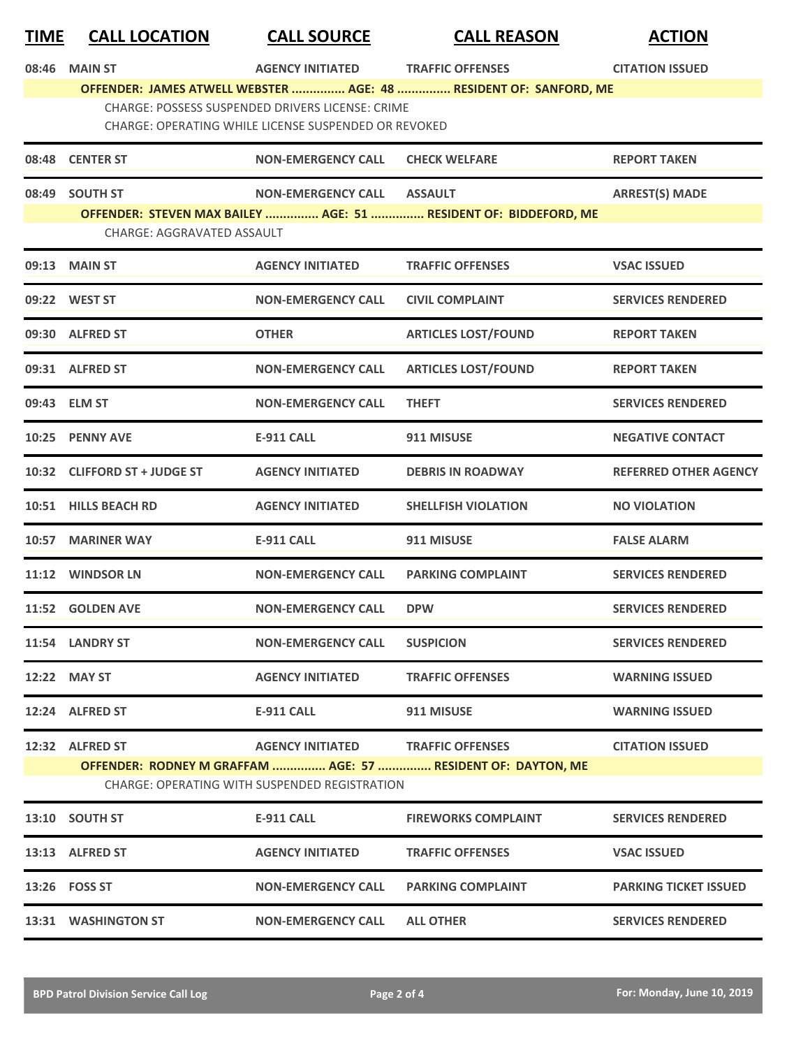| <u>TIME</u> | <b>CALL LOCATION</b>              | <b>CALL SOURCE</b>                                                                                              | <b>CALL REASON</b>                                                | <b>ACTION</b>                |
|-------------|-----------------------------------|-----------------------------------------------------------------------------------------------------------------|-------------------------------------------------------------------|------------------------------|
| 08:46       | <b>MAIN ST</b>                    | <b>AGENCY INITIATED</b>                                                                                         | <b>TRAFFIC OFFENSES</b>                                           | <b>CITATION ISSUED</b>       |
|             |                                   |                                                                                                                 | OFFENDER: JAMES ATWELL WEBSTER  AGE: 48  RESIDENT OF: SANFORD, ME |                              |
|             |                                   | <b>CHARGE: POSSESS SUSPENDED DRIVERS LICENSE: CRIME</b><br>CHARGE: OPERATING WHILE LICENSE SUSPENDED OR REVOKED |                                                                   |                              |
| 08:48       | <b>CENTER ST</b>                  | <b>NON-EMERGENCY CALL</b>                                                                                       | <b>CHECK WELFARE</b>                                              | <b>REPORT TAKEN</b>          |
| 08:49       | <b>SOUTH ST</b>                   | NON-EMERGENCY CALL ASSAULT                                                                                      |                                                                   | <b>ARREST(S) MADE</b>        |
|             | <b>CHARGE: AGGRAVATED ASSAULT</b> |                                                                                                                 | OFFENDER: STEVEN MAX BAILEY  AGE: 51  RESIDENT OF: BIDDEFORD, ME  |                              |
|             |                                   |                                                                                                                 |                                                                   |                              |
|             | 09:13 MAIN ST                     | <b>AGENCY INITIATED</b>                                                                                         | <b>TRAFFIC OFFENSES</b>                                           | <b>VSAC ISSUED</b>           |
|             | 09:22 WEST ST                     | <b>NON-EMERGENCY CALL</b>                                                                                       | <b>CIVIL COMPLAINT</b>                                            | <b>SERVICES RENDERED</b>     |
|             | 09:30 ALFRED ST                   | <b>OTHER</b>                                                                                                    | <b>ARTICLES LOST/FOUND</b>                                        | <b>REPORT TAKEN</b>          |
|             | 09:31 ALFRED ST                   | <b>NON-EMERGENCY CALL</b>                                                                                       | <b>ARTICLES LOST/FOUND</b>                                        | <b>REPORT TAKEN</b>          |
|             | 09:43 ELM ST                      | <b>NON-EMERGENCY CALL</b>                                                                                       | <b>THEFT</b>                                                      | <b>SERVICES RENDERED</b>     |
|             | 10:25 PENNY AVE                   | <b>E-911 CALL</b>                                                                                               | 911 MISUSE                                                        | <b>NEGATIVE CONTACT</b>      |
|             | 10:32 CLIFFORD ST + JUDGE ST      | <b>AGENCY INITIATED</b>                                                                                         | <b>DEBRIS IN ROADWAY</b>                                          | <b>REFERRED OTHER AGENCY</b> |
|             | 10:51 HILLS BEACH RD              | <b>AGENCY INITIATED</b>                                                                                         | <b>SHELLFISH VIOLATION</b>                                        | <b>NO VIOLATION</b>          |
| 10:57       | <b>MARINER WAY</b>                | <b>E-911 CALL</b>                                                                                               | 911 MISUSE                                                        | <b>FALSE ALARM</b>           |
|             | 11:12 WINDSOR LN                  | <b>NON-EMERGENCY CALL</b>                                                                                       | <b>PARKING COMPLAINT</b>                                          | <b>SERVICES RENDERED</b>     |
|             | 11:52 GOLDEN AVE                  | <b>NON-EMERGENCY CALL</b>                                                                                       | <b>DPW</b>                                                        | <b>SERVICES RENDERED</b>     |
|             | 11:54 LANDRY ST                   | <b>NON-EMERGENCY CALL</b>                                                                                       | <b>SUSPICION</b>                                                  | <b>SERVICES RENDERED</b>     |
|             | 12:22 MAY ST                      | AGENCY INITIATED                                                                                                | <b>TRAFFIC OFFENSES</b>                                           | <b>WARNING ISSUED</b>        |
|             | 12:24 ALFRED ST                   | E-911 CALL                                                                                                      | 911 MISUSE                                                        | <b>WARNING ISSUED</b>        |
|             | 12:32 ALFRED ST                   | AGENCY INITIATED TRAFFIC OFFENSES                                                                               |                                                                   | <b>CITATION ISSUED</b>       |
|             |                                   |                                                                                                                 | OFFENDER: RODNEY M GRAFFAM  AGE: 57  RESIDENT OF: DAYTON, ME      |                              |
|             |                                   | CHARGE: OPERATING WITH SUSPENDED REGISTRATION                                                                   |                                                                   |                              |
|             | 13:10 SOUTH ST                    | E-911 CALL                                                                                                      | <b>FIREWORKS COMPLAINT</b>                                        | <b>SERVICES RENDERED</b>     |
|             | 13:13 ALFRED ST                   | <b>AGENCY INITIATED</b>                                                                                         | <b>TRAFFIC OFFENSES</b>                                           | <b>VSAC ISSUED</b>           |
|             | 13:26    FOSS ST                  | <b>NON-EMERGENCY CALL</b>                                                                                       | <b>PARKING COMPLAINT</b>                                          | <b>PARKING TICKET ISSUED</b> |
|             | 13:31 WASHINGTON ST               | <b>NON-EMERGENCY CALL</b>                                                                                       | <b>ALL OTHER</b>                                                  | <b>SERVICES RENDERED</b>     |
|             |                                   |                                                                                                                 |                                                                   |                              |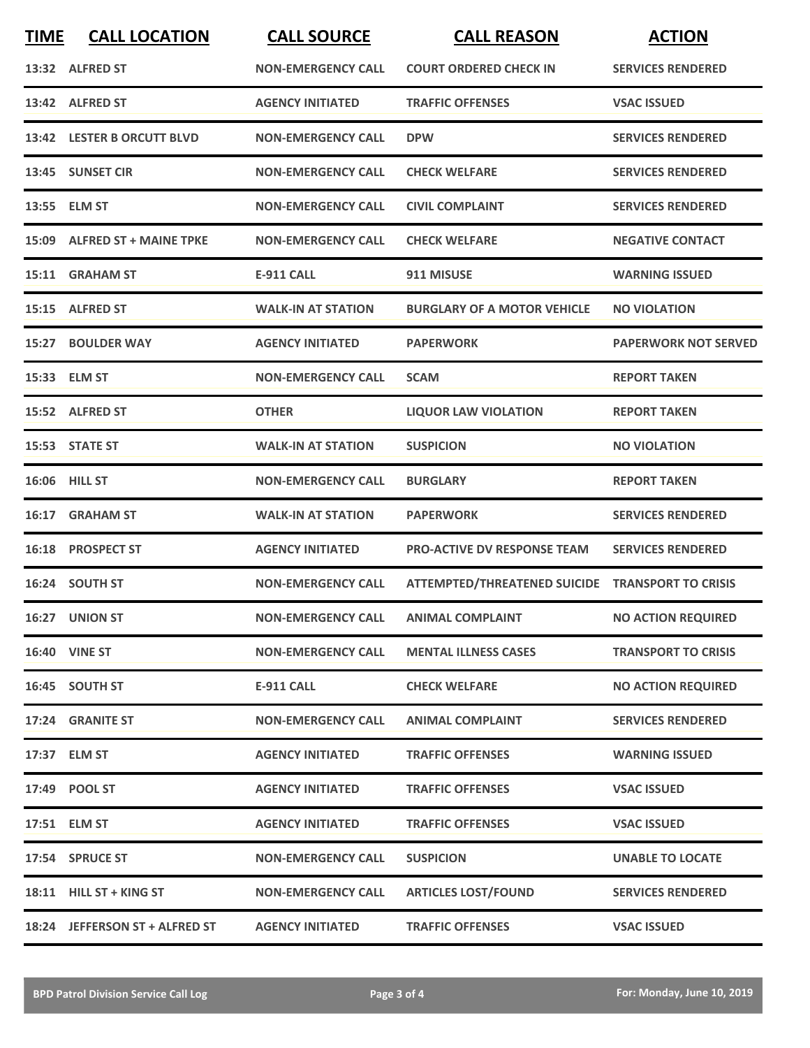| <b>TIME</b> | <b>CALL LOCATION</b>           | <b>CALL SOURCE</b>                  | <b>CALL REASON</b>                               | <b>ACTION</b>               |
|-------------|--------------------------------|-------------------------------------|--------------------------------------------------|-----------------------------|
|             | 13:32 ALFRED ST                | <b>NON-EMERGENCY CALL</b>           | <b>COURT ORDERED CHECK IN</b>                    | <b>SERVICES RENDERED</b>    |
|             | 13:42 ALFRED ST                | <b>AGENCY INITIATED</b>             | <b>TRAFFIC OFFENSES</b>                          | <b>VSAC ISSUED</b>          |
|             | 13:42 LESTER B ORCUTT BLVD     | <b>NON-EMERGENCY CALL</b>           | <b>DPW</b>                                       | <b>SERVICES RENDERED</b>    |
|             | 13:45 SUNSET CIR               | <b>NON-EMERGENCY CALL</b>           | <b>CHECK WELFARE</b>                             | <b>SERVICES RENDERED</b>    |
|             | 13:55 ELM ST                   | <b>NON-EMERGENCY CALL</b>           | <b>CIVIL COMPLAINT</b>                           | <b>SERVICES RENDERED</b>    |
|             | 15:09 ALFRED ST + MAINE TPKE   | <b>NON-EMERGENCY CALL</b>           | <b>CHECK WELFARE</b>                             | <b>NEGATIVE CONTACT</b>     |
|             | 15:11 GRAHAM ST                | <b>E-911 CALL</b>                   | 911 MISUSE                                       | <b>WARNING ISSUED</b>       |
|             | 15:15 ALFRED ST                | <b>WALK-IN AT STATION</b>           | <b>BURGLARY OF A MOTOR VEHICLE</b>               | <b>NO VIOLATION</b>         |
|             | 15:27 BOULDER WAY              | <b>AGENCY INITIATED</b>             | <b>PAPERWORK</b>                                 | <b>PAPERWORK NOT SERVED</b> |
|             | 15:33 ELM ST                   | <b>NON-EMERGENCY CALL</b>           | <b>SCAM</b>                                      | <b>REPORT TAKEN</b>         |
|             | 15:52 ALFRED ST                | <b>OTHER</b>                        | <b>LIQUOR LAW VIOLATION</b>                      | <b>REPORT TAKEN</b>         |
|             | 15:53 STATE ST                 | <b>WALK-IN AT STATION</b>           | <b>SUSPICION</b>                                 | <b>NO VIOLATION</b>         |
|             | 16:06 HILL ST                  | <b>NON-EMERGENCY CALL</b>           | <b>BURGLARY</b>                                  | <b>REPORT TAKEN</b>         |
| 16:17       | <b>GRAHAM ST</b>               | <b>WALK-IN AT STATION</b>           | <b>PAPERWORK</b>                                 | <b>SERVICES RENDERED</b>    |
| 16:18       | <b>PROSPECT ST</b>             | <b>AGENCY INITIATED</b>             | <b>PRO-ACTIVE DV RESPONSE TEAM</b>               | <b>SERVICES RENDERED</b>    |
|             | 16:24 SOUTH ST                 | <b>NON-EMERGENCY CALL</b>           | ATTEMPTED/THREATENED SUICIDE TRANSPORT TO CRISIS |                             |
|             | 16:27 UNION ST                 | NON-EMERGENCY CALL ANIMAL COMPLAINT |                                                  | <b>NO ACTION REQUIRED</b>   |
|             | <b>16:40 VINE ST</b>           | <b>NON-EMERGENCY CALL</b>           | <b>MENTAL ILLNESS CASES</b>                      | <b>TRANSPORT TO CRISIS</b>  |
|             | 16:45 SOUTH ST                 | <b>E-911 CALL</b>                   | <b>CHECK WELFARE</b>                             | <b>NO ACTION REQUIRED</b>   |
|             | 17:24 GRANITE ST               | <b>NON-EMERGENCY CALL</b>           | <b>ANIMAL COMPLAINT</b>                          | <b>SERVICES RENDERED</b>    |
|             | 17:37 ELM ST                   | <b>AGENCY INITIATED</b>             | <b>TRAFFIC OFFENSES</b>                          | <b>WARNING ISSUED</b>       |
|             | 17:49 POOL ST                  | <b>AGENCY INITIATED</b>             | <b>TRAFFIC OFFENSES</b>                          | <b>VSAC ISSUED</b>          |
|             | 17:51 ELM ST                   | <b>AGENCY INITIATED</b>             | <b>TRAFFIC OFFENSES</b>                          | <b>VSAC ISSUED</b>          |
|             | 17:54 SPRUCE ST                | <b>NON-EMERGENCY CALL</b>           | <b>SUSPICION</b>                                 | <b>UNABLE TO LOCATE</b>     |
|             | 18:11 HILL ST + KING ST        | <b>NON-EMERGENCY CALL</b>           | <b>ARTICLES LOST/FOUND</b>                       | <b>SERVICES RENDERED</b>    |
|             | 18:24 JEFFERSON ST + ALFRED ST | <b>AGENCY INITIATED</b>             | <b>TRAFFIC OFFENSES</b>                          | <b>VSAC ISSUED</b>          |